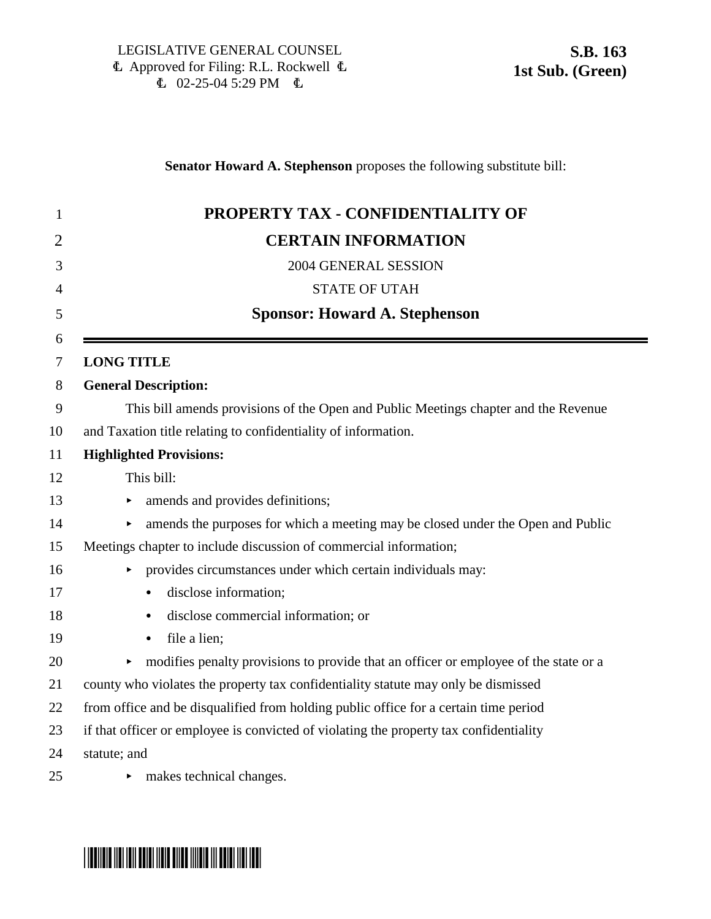### **Senator Howard A. Stephenson** proposes the following substitute bill:

| PROPERTY TAX - CONFIDENTIALITY OF                                                      |
|----------------------------------------------------------------------------------------|
| <b>CERTAIN INFORMATION</b>                                                             |
| 2004 GENERAL SESSION                                                                   |
| <b>STATE OF UTAH</b>                                                                   |
| <b>Sponsor: Howard A. Stephenson</b>                                                   |
| <b>LONG TITLE</b>                                                                      |
| <b>General Description:</b>                                                            |
| This bill amends provisions of the Open and Public Meetings chapter and the Revenue    |
| and Taxation title relating to confidentiality of information.                         |
| <b>Highlighted Provisions:</b>                                                         |
| This bill:                                                                             |
| amends and provides definitions;                                                       |
| amends the purposes for which a meeting may be closed under the Open and Public        |
| Meetings chapter to include discussion of commercial information;                      |
| provides circumstances under which certain individuals may:                            |
| disclose information;<br>$\bullet$                                                     |
| disclose commercial information; or<br>$\bullet$                                       |
| file a lien;<br>٠                                                                      |
| modifies penalty provisions to provide that an officer or employee of the state or a   |
| county who violates the property tax confidentiality statute may only be dismissed     |
| from office and be disqualified from holding public office for a certain time period   |
| if that officer or employee is convicted of violating the property tax confidentiality |
| statute; and                                                                           |
| makes technical changes.                                                               |

# \* SB0163 SO163 SO16 SO16 SS00 SS00 SS00 SS00 SS00 S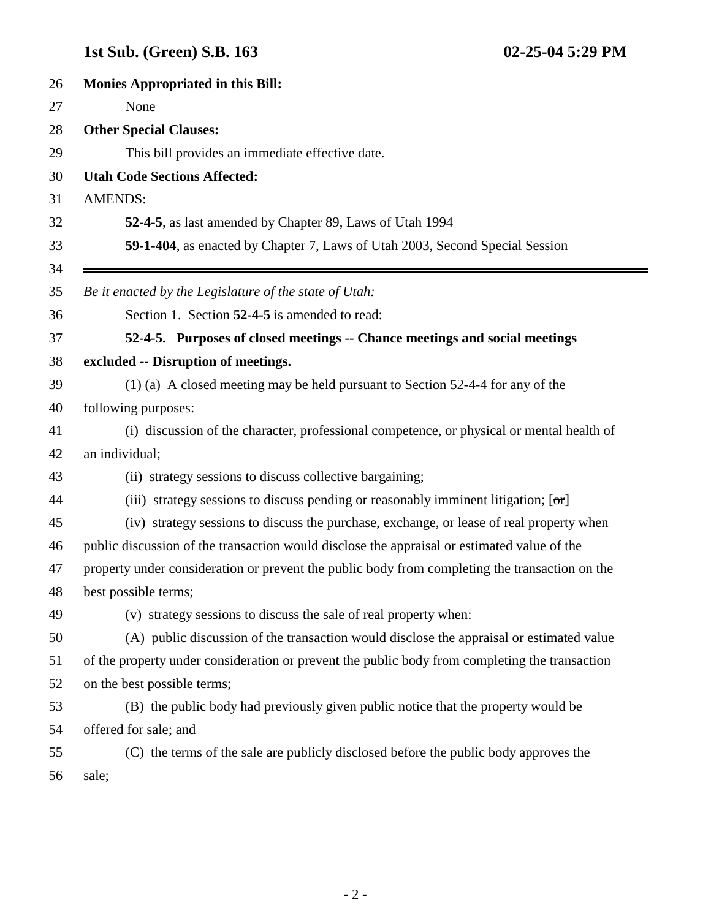Ξ

| 26 | <b>Monies Appropriated in this Bill:</b>                                                       |
|----|------------------------------------------------------------------------------------------------|
| 27 | None                                                                                           |
| 28 | <b>Other Special Clauses:</b>                                                                  |
| 29 | This bill provides an immediate effective date.                                                |
| 30 | <b>Utah Code Sections Affected:</b>                                                            |
| 31 | <b>AMENDS:</b>                                                                                 |
| 32 | 52-4-5, as last amended by Chapter 89, Laws of Utah 1994                                       |
| 33 | 59-1-404, as enacted by Chapter 7, Laws of Utah 2003, Second Special Session                   |
| 34 |                                                                                                |
| 35 | Be it enacted by the Legislature of the state of Utah:                                         |
| 36 | Section 1. Section 52-4-5 is amended to read:                                                  |
| 37 | 52-4-5. Purposes of closed meetings -- Chance meetings and social meetings                     |
| 38 | excluded -- Disruption of meetings.                                                            |
| 39 | (1) (a) A closed meeting may be held pursuant to Section 52-4-4 for any of the                 |
| 40 | following purposes:                                                                            |
| 41 | (i) discussion of the character, professional competence, or physical or mental health of      |
| 42 | an individual;                                                                                 |
| 43 | (ii) strategy sessions to discuss collective bargaining;                                       |
| 44 | (iii) strategy sessions to discuss pending or reasonably imminent litigation; $[\sigma \tau]$  |
| 45 | (iv) strategy sessions to discuss the purchase, exchange, or lease of real property when       |
| 46 | public discussion of the transaction would disclose the appraisal or estimated value of the    |
| 47 | property under consideration or prevent the public body from completing the transaction on the |
| 48 | best possible terms;                                                                           |
| 49 | (v) strategy sessions to discuss the sale of real property when:                               |
| 50 | (A) public discussion of the transaction would disclose the appraisal or estimated value       |
| 51 | of the property under consideration or prevent the public body from completing the transaction |
| 52 | on the best possible terms;                                                                    |
| 53 | (B) the public body had previously given public notice that the property would be              |
| 54 | offered for sale; and                                                                          |
| 55 | (C) the terms of the sale are publicly disclosed before the public body approves the           |
| 56 | sale;                                                                                          |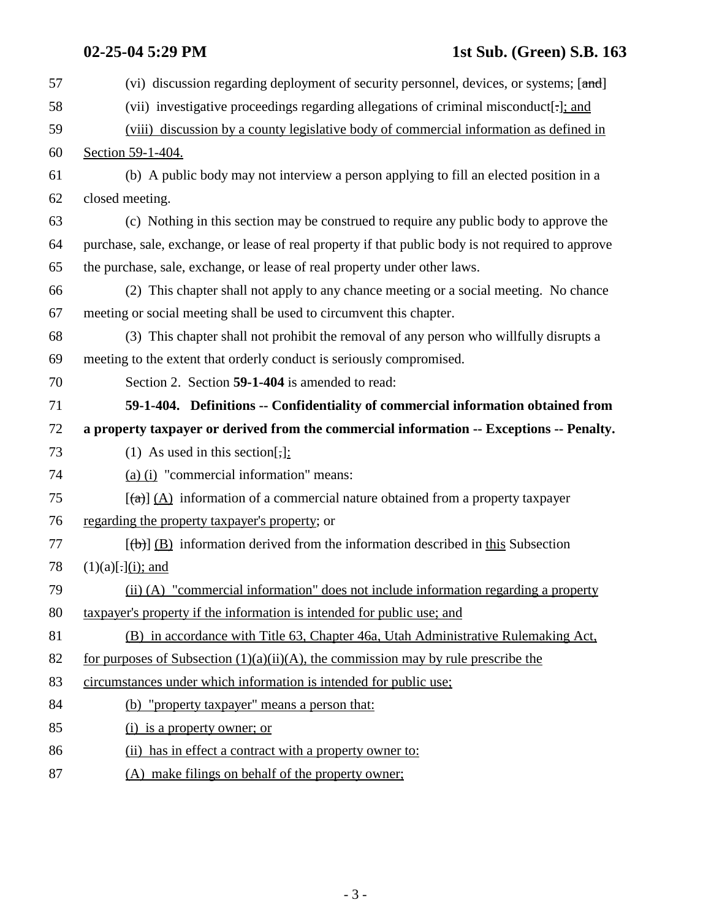| 57 | (vi) discussion regarding deployment of security personnel, devices, or systems; [and]               |
|----|------------------------------------------------------------------------------------------------------|
| 58 | (vii) investigative proceedings regarding allegations of criminal misconduct[-]; and                 |
| 59 | (viii) discussion by a county legislative body of commercial information as defined in               |
| 60 | Section 59-1-404.                                                                                    |
| 61 | (b) A public body may not interview a person applying to fill an elected position in a               |
| 62 | closed meeting.                                                                                      |
| 63 | (c) Nothing in this section may be construed to require any public body to approve the               |
| 64 | purchase, sale, exchange, or lease of real property if that public body is not required to approve   |
| 65 | the purchase, sale, exchange, or lease of real property under other laws.                            |
| 66 | (2) This chapter shall not apply to any chance meeting or a social meeting. No chance                |
| 67 | meeting or social meeting shall be used to circumvent this chapter.                                  |
| 68 | (3) This chapter shall not prohibit the removal of any person who willfully disrupts a               |
| 69 | meeting to the extent that orderly conduct is seriously compromised.                                 |
| 70 | Section 2. Section 59-1-404 is amended to read:                                                      |
| 71 | 59-1-404. Definitions -- Confidentiality of commercial information obtained from                     |
|    |                                                                                                      |
| 72 | a property taxpayer or derived from the commercial information -- Exceptions -- Penalty.             |
| 73 | (1) As used in this section[;]:                                                                      |
| 74 | (a) (i) "commercial information" means:                                                              |
| 75 | $[\text{A}]$ (A) information of a commercial nature obtained from a property taxpayer                |
| 76 | regarding the property taxpayer's property; or                                                       |
| 77 | $[\langle \theta \rangle]$ (B) information derived from the information described in this Subsection |
| 78 | $(1)(a)[.]$ (i); and                                                                                 |
| 79 | (ii) (A) "commercial information" does not include information regarding a property                  |
| 80 | taxpayer's property if the information is intended for public use; and                               |
| 81 | (B) in accordance with Title 63, Chapter 46a, Utah Administrative Rulemaking Act,                    |
| 82 | for purposes of Subsection $(1)(a)(ii)(A)$ , the commission may by rule prescribe the                |
| 83 | circumstances under which information is intended for public use;                                    |
| 84 | (b) "property taxpayer" means a person that:                                                         |
| 85 | (i) is a property owner; or                                                                          |
| 86 | (ii) has in effect a contract with a property owner to:                                              |

87 (A) make filings on behalf of the property owner;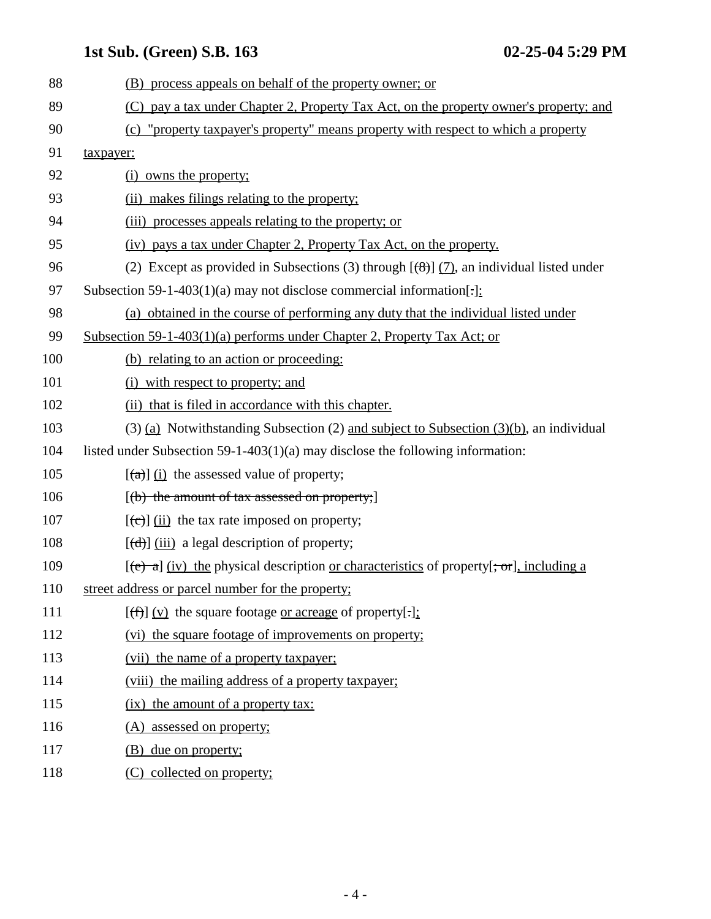| (B) process appeals on behalf of the property owner; or                                                                          |
|----------------------------------------------------------------------------------------------------------------------------------|
| (C) pay a tax under Chapter 2, Property Tax Act, on the property owner's property; and                                           |
|                                                                                                                                  |
| "property taxpayer's property" means property with respect to which a property<br>(c)                                            |
| taxpayer:                                                                                                                        |
| (i) owns the property;                                                                                                           |
| (ii) makes filings relating to the property;                                                                                     |
| (iii) processes appeals relating to the property; or                                                                             |
| (iv) pays a tax under Chapter 2, Property Tax Act, on the property.                                                              |
| (2) Except as provided in Subsections (3) through $[\frac{1}{2}]$ (7), an individual listed under                                |
| Subsection 59-1-403(1)(a) may not disclose commercial information[ $\frac{1}{2}$ ]:                                              |
| (a) obtained in the course of performing any duty that the individual listed under                                               |
| Subsection 59-1-403(1)(a) performs under Chapter 2, Property Tax Act; or                                                         |
| (b) relating to an action or proceeding:                                                                                         |
| (i) with respect to property; and                                                                                                |
| (ii) that is filed in accordance with this chapter.                                                                              |
| $(3)$ (a) Notwithstanding Subsection (2) and subject to Subsection (3)(b), an individual                                         |
| listed under Subsection 59-1-403(1)(a) may disclose the following information:                                                   |
| $\left[\frac{a}{a}\right]$ (i) the assessed value of property;                                                                   |
| $[(b)$ the amount of tax assessed on property;                                                                                   |
| $[\text{e}(\text{e})]$ (ii) the tax rate imposed on property;                                                                    |
| $[\text{(\text{d})}]$ (iii) a legal description of property;                                                                     |
| $[\text{e} \rightarrow \text{a}]$ (iv) the physical description or characteristics of property $[\cdot, \text{or}],$ including a |
| street address or parcel number for the property;                                                                                |
| $[(f)$ (v) the square footage <u>or acreage</u> of property[.]:                                                                  |
| (vi) the square footage of improvements on property;                                                                             |
| (vii) the name of a property taxpayer;                                                                                           |
| (viii) the mailing address of a property taxpayer;                                                                               |
| (ix) the amount of a property tax:                                                                                               |
| (A) assessed on property;                                                                                                        |
| due on property;<br>(B)                                                                                                          |
| (C) collected on property;                                                                                                       |
|                                                                                                                                  |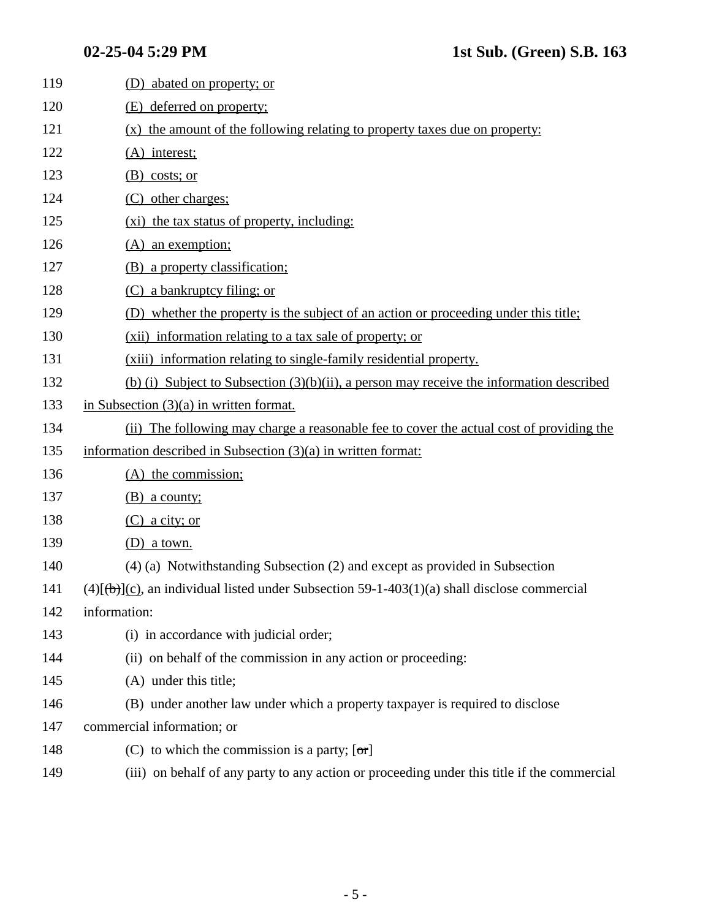| 119 | (D) abated on property; or                                                                     |
|-----|------------------------------------------------------------------------------------------------|
| 120 | (E) deferred on property;                                                                      |
| 121 | (x) the amount of the following relating to property taxes due on property:                    |
| 122 | $(A)$ interest;                                                                                |
| 123 | $(B)$ costs; or                                                                                |
| 124 | (C) other charges;                                                                             |
| 125 | (xi) the tax status of property, including:                                                    |
| 126 | $(A)$ an exemption;                                                                            |
| 127 | (B) a property classification;                                                                 |
| 128 | (C) a bankruptcy filing; or                                                                    |
| 129 | (D) whether the property is the subject of an action or proceeding under this title;           |
| 130 | (xii) information relating to a tax sale of property; or                                       |
| 131 | (xiii) information relating to single-family residential property.                             |
| 132 | (b) (i) Subject to Subsection $(3)(b)(ii)$ , a person may receive the information described    |
| 133 | in Subsection $(3)(a)$ in written format.                                                      |
| 134 | (ii) The following may charge a reasonable fee to cover the actual cost of providing the       |
| 135 | information described in Subsection $(3)(a)$ in written format:                                |
| 136 | $(A)$ the commission;                                                                          |
| 137 | $(B)$ a county;                                                                                |
| 138 | $(C)$ a city; or                                                                               |
| 139 | $(D)$ a town.                                                                                  |
| 140 | (4) (a) Notwithstanding Subsection (2) and except as provided in Subsection                    |
| 141 | $(4)[(b)](c)$ , an individual listed under Subsection 59-1-403(1)(a) shall disclose commercial |
| 142 | information:                                                                                   |
| 143 | (i) in accordance with judicial order;                                                         |
| 144 | (ii) on behalf of the commission in any action or proceeding:                                  |
| 145 | (A) under this title;                                                                          |
| 146 | (B) under another law under which a property taxpayer is required to disclose                  |
| 147 | commercial information; or                                                                     |
| 148 | (C) to which the commission is a party; $[\sigma r]$                                           |
| 149 | (iii) on behalf of any party to any action or proceeding under this title if the commercial    |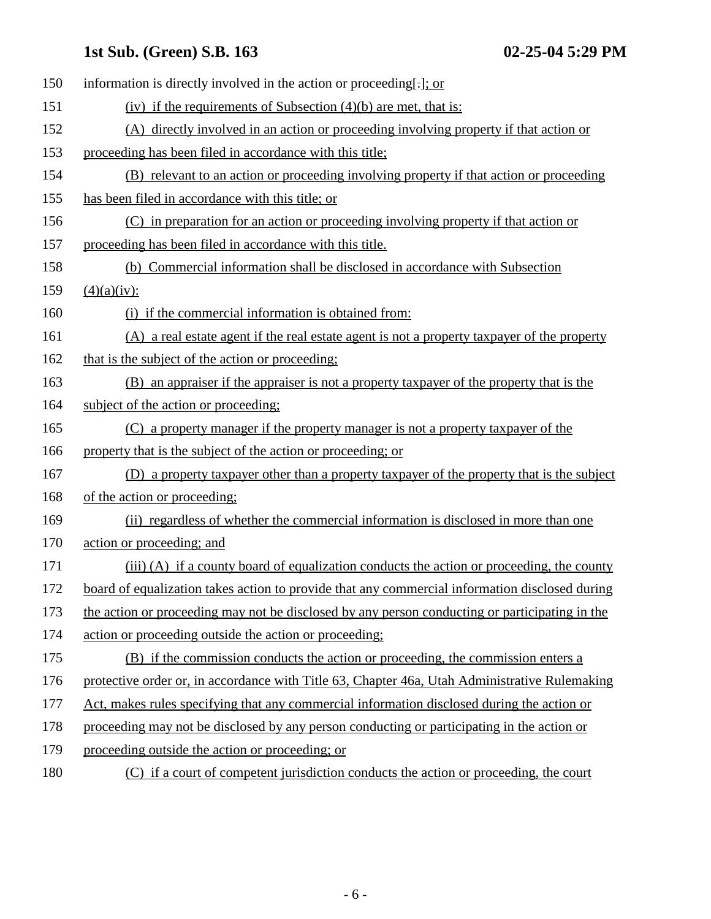| 150 | information is directly involved in the action or proceeding[-]; or                            |
|-----|------------------------------------------------------------------------------------------------|
| 151 | (iv) if the requirements of Subsection $(4)(b)$ are met, that is:                              |
| 152 | (A) directly involved in an action or proceeding involving property if that action or          |
| 153 | proceeding has been filed in accordance with this title;                                       |
| 154 | (B) relevant to an action or proceeding involving property if that action or proceeding        |
| 155 | has been filed in accordance with this title; or                                               |
| 156 | (C) in preparation for an action or proceeding involving property if that action or            |
| 157 | proceeding has been filed in accordance with this title.                                       |
| 158 | (b) Commercial information shall be disclosed in accordance with Subsection                    |
| 159 | $(4)(a)(iv)$ :                                                                                 |
| 160 | (i) if the commercial information is obtained from:                                            |
| 161 | (A) a real estate agent if the real estate agent is not a property taxpayer of the property    |
| 162 | that is the subject of the action or proceeding;                                               |
| 163 | (B) an appraiser if the appraiser is not a property taxpayer of the property that is the       |
| 164 | subject of the action or proceeding;                                                           |
| 165 | (C) a property manager if the property manager is not a property taxpayer of the               |
| 166 | property that is the subject of the action or proceeding; or                                   |
| 167 | (D) a property taxpayer other than a property taxpayer of the property that is the subject     |
| 168 | of the action or proceeding:                                                                   |
| 169 | (ii) regardless of whether the commercial information is disclosed in more than one            |
| 170 | action or proceeding; and                                                                      |
| 171 | (iii) (A) if a county board of equalization conducts the action or proceeding, the county      |
| 172 | board of equalization takes action to provide that any commercial information disclosed during |
| 173 | the action or proceeding may not be disclosed by any person conducting or participating in the |
| 174 | action or proceeding outside the action or proceeding;                                         |
| 175 | (B) if the commission conducts the action or proceeding, the commission enters a               |
| 176 | protective order or, in accordance with Title 63, Chapter 46a, Utah Administrative Rulemaking  |
| 177 | Act, makes rules specifying that any commercial information disclosed during the action or     |
| 178 | proceeding may not be disclosed by any person conducting or participating in the action or     |
| 179 | proceeding outside the action or proceeding; or                                                |
| 180 | (C) if a court of competent jurisdiction conducts the action or proceeding, the court          |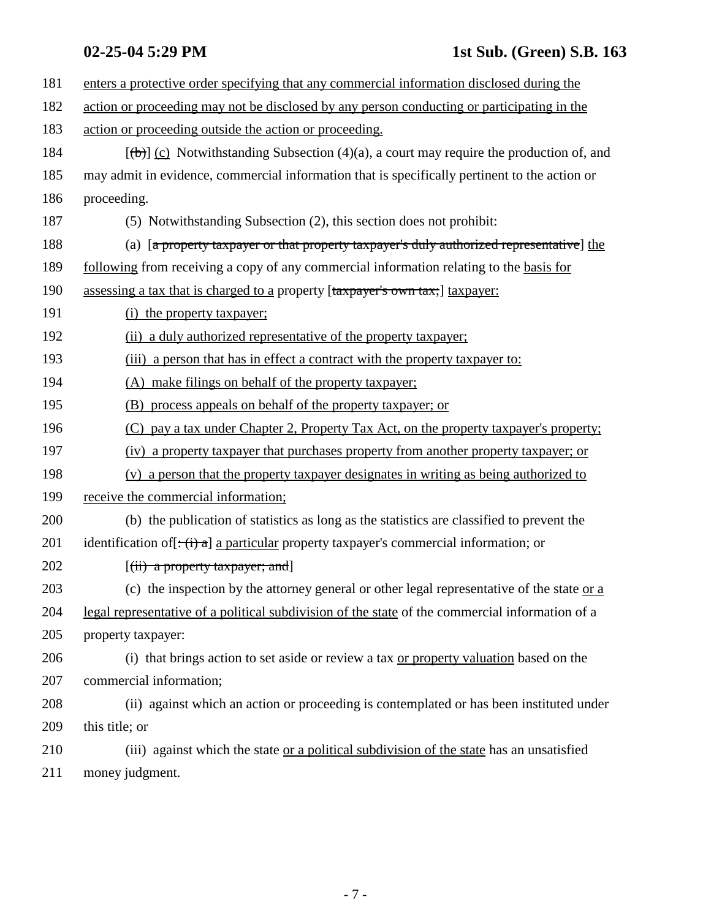| 181 | enters a protective order specifying that any commercial information disclosed during the                           |
|-----|---------------------------------------------------------------------------------------------------------------------|
| 182 | action or proceeding may not be disclosed by any person conducting or participating in the                          |
| 183 | action or proceeding outside the action or proceeding.                                                              |
| 184 | $[\frac{1}{\pm}(\mathbf{b})]$ (c) Notwithstanding Subsection (4)(a), a court may require the production of, and     |
| 185 | may admit in evidence, commercial information that is specifically pertinent to the action or                       |
| 186 | proceeding.                                                                                                         |
| 187 | (5) Notwithstanding Subsection (2), this section does not prohibit:                                                 |
| 188 | (a) [a property taxpayer or that property taxpayer's duly authorized representative] the                            |
| 189 | <u>following</u> from receiving a copy of any commercial information relating to the basis for                      |
| 190 | assessing a tax that is charged to a property [taxpayer's own tax;] taxpayer:                                       |
| 191 | (i) the property taxpayer;                                                                                          |
| 192 | (ii) a duly authorized representative of the property taxpayer;                                                     |
| 193 | (iii) a person that has in effect a contract with the property taxpayer to:                                         |
| 194 | (A) make filings on behalf of the property taxpayer;                                                                |
| 195 | (B) process appeals on behalf of the property taxpayer; or                                                          |
| 196 | (C) pay a tax under Chapter 2, Property Tax Act, on the property taxpayer's property;                               |
| 197 | (iv) a property taxpayer that purchases property from another property taxpayer; or                                 |
| 198 | (v) a person that the property taxpayer designates in writing as being authorized to                                |
| 199 | receive the commercial information;                                                                                 |
| 200 | (b) the publication of statistics as long as the statistics are classified to prevent the                           |
| 201 | identification of $[\div(\mathbf{i}) \cdot \mathbf{a}]$ a particular property taxpayer's commercial information; or |
| 202 | $[(ii)$ a property taxpayer; and                                                                                    |
| 203 | (c) the inspection by the attorney general or other legal representative of the state or a                          |
| 204 | legal representative of a political subdivision of the state of the commercial information of a                     |
| 205 | property taxpayer:                                                                                                  |
| 206 | (i) that brings action to set aside or review a tax or property valuation based on the                              |
| 207 | commercial information;                                                                                             |
| 208 | (ii) against which an action or proceeding is contemplated or has been instituted under                             |
| 209 | this title; or                                                                                                      |
| 210 | (iii) against which the state or a political subdivision of the state has an unsatisfied                            |
| 211 | money judgment.                                                                                                     |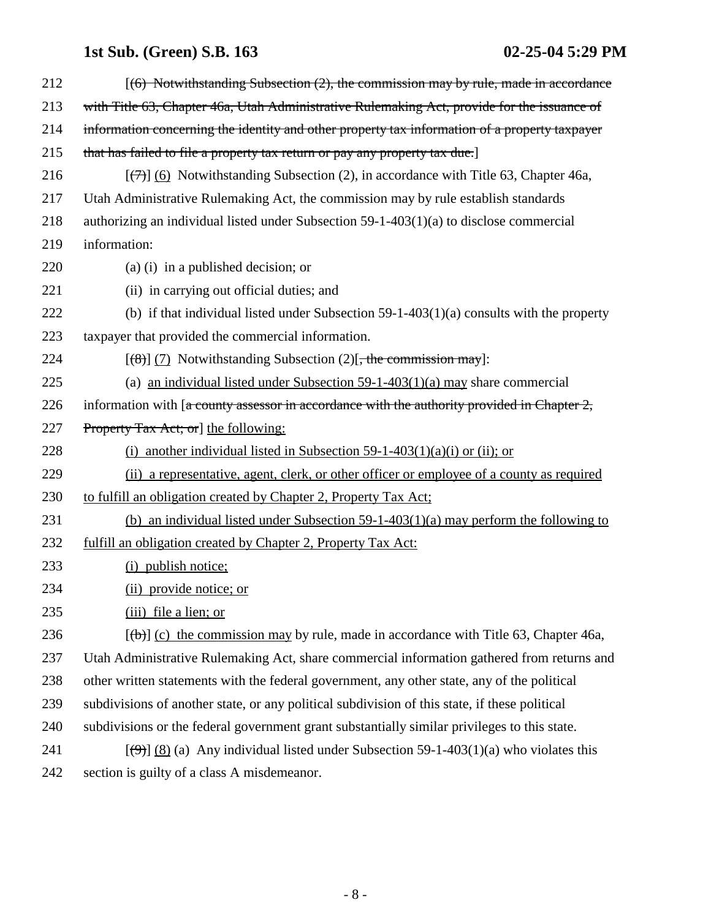| 212 | $(6)$ Notwithstanding Subsection $(2)$ , the commission may by rule, made in accordance                           |
|-----|-------------------------------------------------------------------------------------------------------------------|
| 213 | with Title 63, Chapter 46a, Utah Administrative Rulemaking Act, provide for the issuance of                       |
| 214 | information concerning the identity and other property tax information of a property taxpayer                     |
| 215 | that has failed to file a property tax return or pay any property tax due.                                        |
| 216 | $[\langle \overline{\tau} \rangle]$ (6) Notwithstanding Subsection (2), in accordance with Title 63, Chapter 46a, |
| 217 | Utah Administrative Rulemaking Act, the commission may by rule establish standards                                |
| 218 | authorizing an individual listed under Subsection $59-1-403(1)(a)$ to disclose commercial                         |
| 219 | information:                                                                                                      |
| 220 | (a) (i) in a published decision; or                                                                               |
| 221 | (ii) in carrying out official duties; and                                                                         |
| 222 | (b) if that individual listed under Subsection $59-1-403(1)(a)$ consults with the property                        |
| 223 | taxpayer that provided the commercial information.                                                                |
| 224 | $[(8)]$ (7) Notwithstanding Subsection (2) <del>, the commission may</del> ]:                                     |
| 225 | (a) an individual listed under Subsection $59-1-403(1)(a)$ may share commercial                                   |
| 226 | information with $[a$ county assessor in accordance with the authority provided in Chapter 2,                     |
| 227 | <b>Property Tax Act; or   the following:</b>                                                                      |
| 228 | another individual listed in Subsection 59-1-403(1)(a)(i) or (ii); or<br>(i)                                      |
| 229 | (ii) a representative, agent, clerk, or other officer or employee of a county as required                         |
| 230 | to fulfill an obligation created by Chapter 2, Property Tax Act:                                                  |
| 231 | (b) an individual listed under Subsection 59-1-403(1)(a) may perform the following to                             |
| 232 | fulfill an obligation created by Chapter 2, Property Tax Act:                                                     |
| 233 | (i) publish notice;                                                                                               |
| 234 | (ii) provide notice; or                                                                                           |
| 235 | (iii) file a lien; or                                                                                             |
| 236 | $[\theta]$ (c) the commission may by rule, made in accordance with Title 63, Chapter 46a,                         |
| 237 | Utah Administrative Rulemaking Act, share commercial information gathered from returns and                        |
| 238 | other written statements with the federal government, any other state, any of the political                       |
| 239 | subdivisions of another state, or any political subdivision of this state, if these political                     |
| 240 | subdivisions or the federal government grant substantially similar privileges to this state.                      |
| 241 | $[\frac{(\Theta)}{8}]$ (8) (a) Any individual listed under Subsection 59-1-403(1)(a) who violates this            |
| 242 | section is guilty of a class A misdemeanor.                                                                       |
|     |                                                                                                                   |

- 8 -